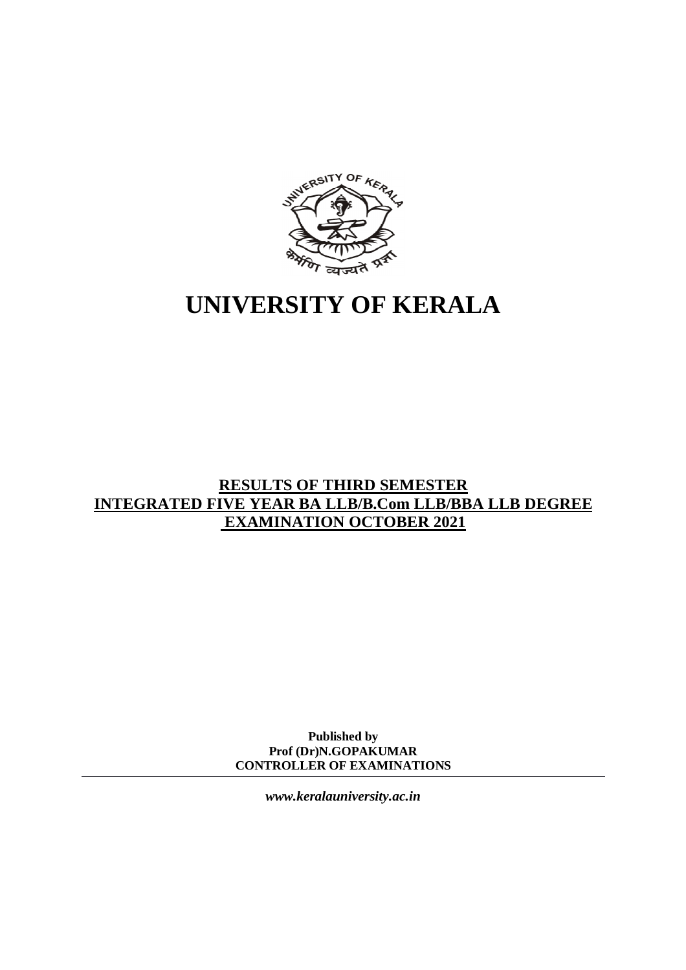

# **UNIVERSITY OF KERALA**

# **RESULTS OF THIRD SEMESTER INTEGRATED FIVE YEAR BA LLB/B.Com LLB/BBA LLB DEGREE EXAMINATION OCTOBER 2021**

**Published by Prof (Dr)N.GOPAKUMAR CONTROLLER OF EXAMINATIONS**

*[www.keralauniversity.ac.in](http://www.keralauniversity.ac.in)*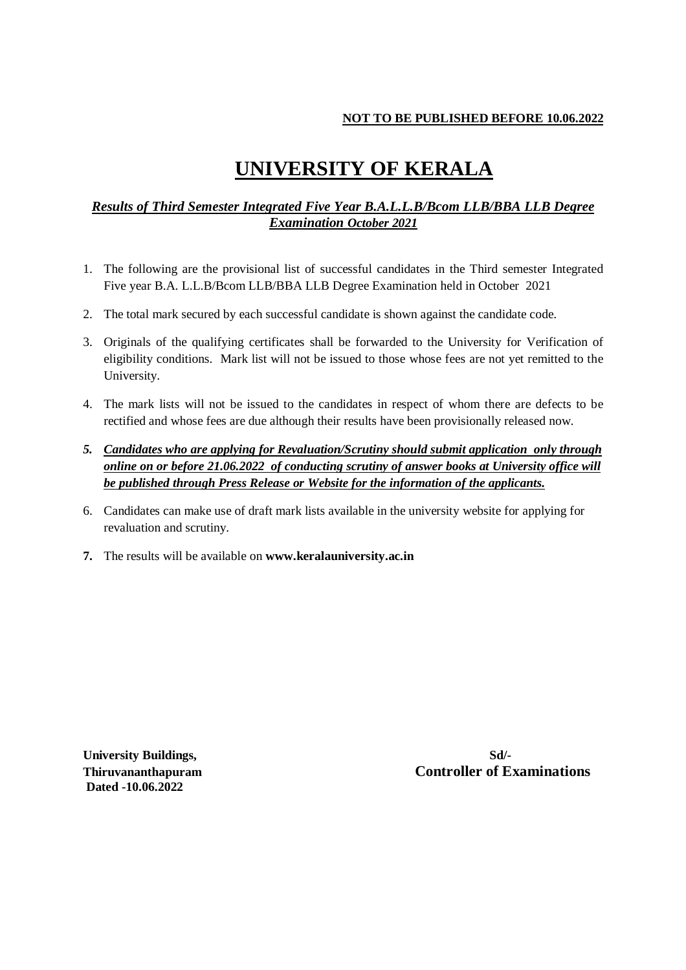### **NOT TO BE PUBLISHED BEFORE 10.06.2022**

# **UNIVERSITY OF KERALA**

## *Results of Third Semester Integrated Five Year B.A.L.L.B/Bcom LLB/BBA LLB Degree Examination October 2021*

- 1. The following are the provisional list of successful candidates in the Third semester Integrated Five year B.A. L.L.B/Bcom LLB/BBA LLB Degree Examination held in October 2021
- 2. The total mark secured by each successful candidate is shown against the candidate code.
- 3. Originals of the qualifying certificates shall be forwarded to the University for Verification of eligibility conditions. Mark list will not be issued to those whose fees are not yet remitted to the University.
- 4. The mark lists will not be issued to the candidates in respect of whom there are defects to be rectified and whose fees are due although their results have been provisionally released now.
- *5. Candidates who are applying for Revaluation/Scrutiny should submit application only through online on or before 21.06.2022 of conducting scrutiny of answer books at University office will be published through Press Release or Website for the information of the applicants.*
- 6. Candidates can make use of draft mark lists available in the university website for applying for revaluation and scrutiny.
- **7.** The results will be available on **[www.keralauniversity.ac.in](http://www.keralauniversity.ac.in)**

**University Buildings, Sd/- Dated -10.06.2022**

**Thiruvananthapuram Controller of Examinations**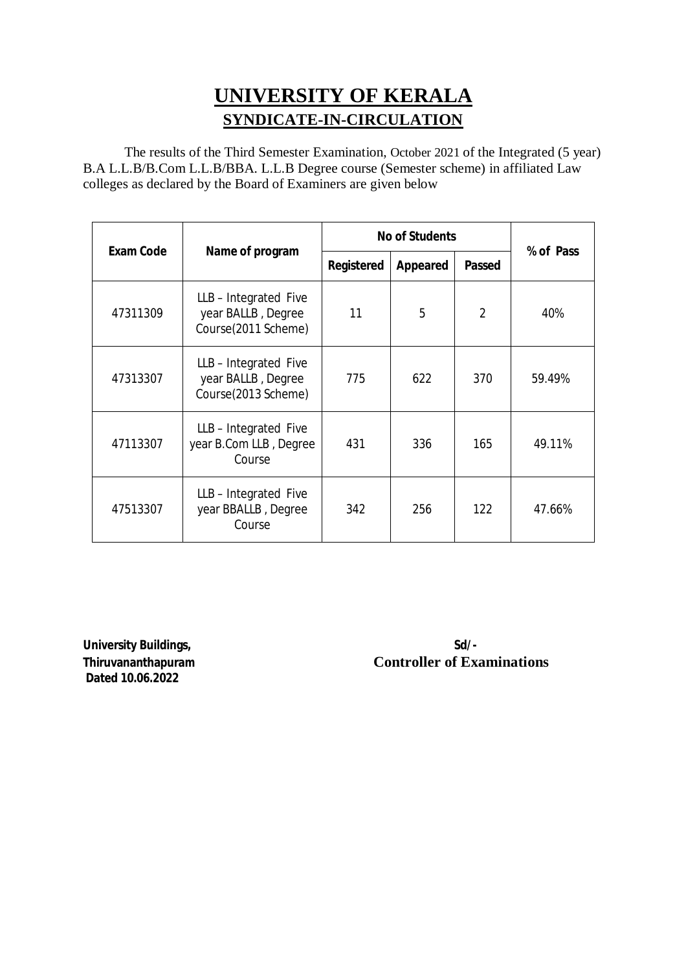# **UNIVERSITY OF KERALA SYNDICATE-IN-CIRCULATION**

The results of the Third Semester Examination, October 2021 of the Integrated (5 year) B.A L.L.B/B.Com L.L.B/BBA. L.L.B Degree course (Semester scheme) in affiliated Law colleges as declared by the Board of Examiners are given below

|                  |                                                                  | <b>No of Students</b> |                 |               |           |
|------------------|------------------------------------------------------------------|-----------------------|-----------------|---------------|-----------|
| <b>Exam Code</b> | Name of program                                                  | Registered            | <b>Appeared</b> | <b>Passed</b> | % of Pass |
| 47311309         | LLB-Integrated Five<br>year BALLB, Degree<br>Course(2011 Scheme) | 11                    | 5               | 2             | 40%       |
| 47313307         | LLB-Integrated Five<br>year BALLB, Degree<br>Course(2013 Scheme) | 775                   | 622             | 370           | 59.49%    |
| 47113307         | LLB-Integrated Five<br>year B.Com LLB, Degree<br>Course          | 431                   | 336             | 165           | 49.11%    |
| 47513307         | LLB-Integrated Five<br>year BBALLB, Degree<br>Course             | 342                   | 256             | 122           | 47.66%    |

**University Buildings, Solution State State State State State State State State State State State State State State State State State State State State State State State State State State State State State State State Stat Dated 10.06.2022**

**Thiruvananthapuram 1996 Controller of Examinations**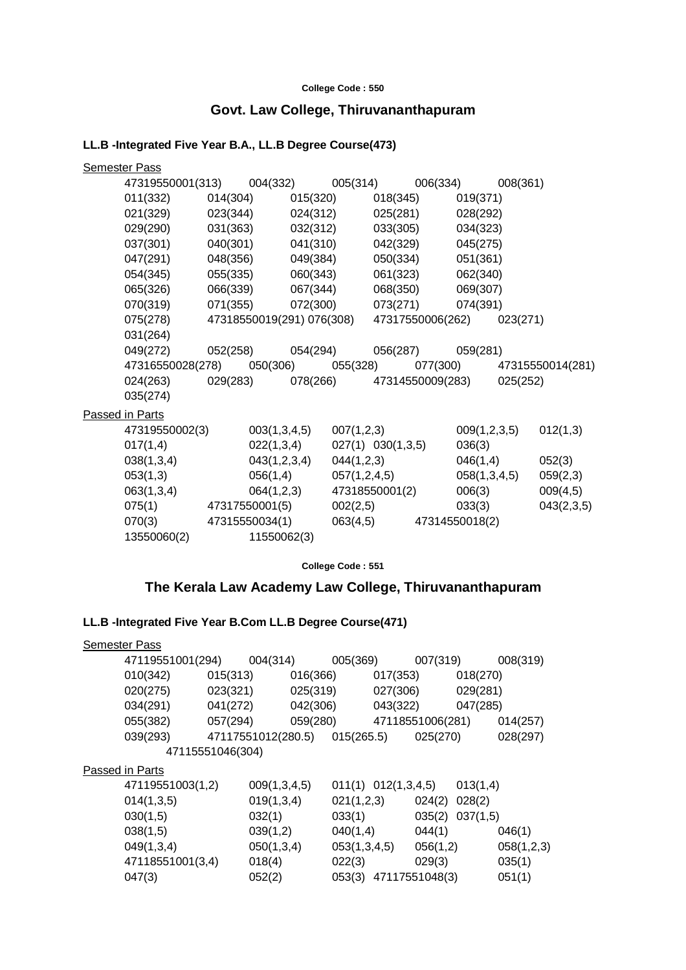#### **College Code : 550**

## **Govt. Law College, Thiruvananthapuram**

## **LL.B -Integrated Five Year B.A., LL.B Degree Course(473)**

| <b>Semester Pass</b> |                                             |          |              |                           |                   |          |                                    |              |          |                           |
|----------------------|---------------------------------------------|----------|--------------|---------------------------|-------------------|----------|------------------------------------|--------------|----------|---------------------------|
|                      | 47319550001(313) 004(332) 005(314) 006(334) |          |              |                           |                   |          |                                    |              | 008(361) |                           |
|                      | 011(332)                                    | 014(304) |              | 015(320)                  |                   | 018(345) |                                    | 019(371)     |          |                           |
|                      | 021(329)                                    | 023(344) |              | 024(312)                  |                   | 025(281) |                                    | 028(292)     |          |                           |
|                      | 029(290)                                    | 031(363) |              | 032(312)                  |                   | 033(305) |                                    | 034(323)     |          |                           |
|                      | 037(301)                                    | 040(301) |              | 041(310)                  |                   | 042(329) |                                    | 045(275)     |          |                           |
|                      | 047(291)                                    | 048(356) |              | 049(384)                  |                   | 050(334) |                                    | 051(361)     |          |                           |
|                      | 054(345)                                    | 055(335) |              | 060(343)                  |                   | 061(323) |                                    | 062(340)     |          |                           |
|                      | 065(326)                                    | 066(339) |              | 067(344)                  |                   | 068(350) |                                    | 069(307)     |          |                           |
|                      | 070(319)                                    | 071(355) |              | 072(300)                  |                   |          | 073(271)                           | 074(391)     |          |                           |
|                      | 075(278)                                    |          |              | 47318550019(291) 076(308) |                   |          | 47317550006(262)                   |              | 023(271) |                           |
|                      | 031(264)                                    |          |              |                           |                   |          |                                    |              |          |                           |
|                      | 049(272)                                    | 052(258) |              | 054(294)                  |                   |          | 056(287) 059(281)                  |              |          |                           |
|                      | 47316550028(278)                            |          |              |                           | 050(306) 055(328) |          |                                    |              |          | 077(300) 47315550014(281) |
|                      | 024(263)                                    |          |              |                           |                   |          | 029(283) 078(266) 47314550009(283) |              | 025(252) |                           |
|                      | 035(274)                                    |          |              |                           |                   |          |                                    |              |          |                           |
| Passed in Parts      |                                             |          |              |                           |                   |          |                                    |              |          |                           |
|                      | 47319550002(3)                              |          | 003(1,3,4,5) |                           | 007(1,2,3)        |          |                                    | 009(1,2,3,5) |          | 012(1,3)                  |
|                      | 017(1,4)                                    |          | 022(1,3,4)   |                           | 027(1) 030(1,3,5) |          |                                    | 036(3)       |          |                           |
|                      | 038(1,3,4)                                  |          | 043(1,2,3,4) |                           | 044(1,2,3)        |          |                                    | 046(1,4)     |          | 052(3)                    |
|                      | 053(1,3)                                    |          | 056(1,4)     |                           | 057(1,2,4,5)      |          |                                    | 058(1,3,4,5) |          | 059(2,3)                  |
|                      | 063(1,3,4)                                  |          | 064(1,2,3)   |                           | 47318550001(2)    |          |                                    | 006(3)       |          | 009(4,5)                  |
|                      | 075(1) 47317550001(5)                       |          |              |                           | 002(2,5)          |          |                                    | 033(3)       |          | 043(2,3,5)                |
|                      | 070(3) 47315550034(1)                       |          |              |                           |                   |          | 063(4,5) 47314550018(2)            |              |          |                           |
|                      | 13550060(2)                                 |          | 11550062(3)  |                           |                   |          |                                    |              |          |                           |

#### **College Code : 551**

## **The Kerala Law Academy Law College, Thiruvananthapuram**

### **LL.B -Integrated Five Year B.Com LL.B Degree Course(471)**

| 008(319)   |
|------------|
|            |
|            |
|            |
| 014(257)   |
| 028(297)   |
|            |
|            |
|            |
|            |
|            |
| 046(1)     |
| 058(1,2,3) |
| 035(1)     |
| 051(1)     |
|            |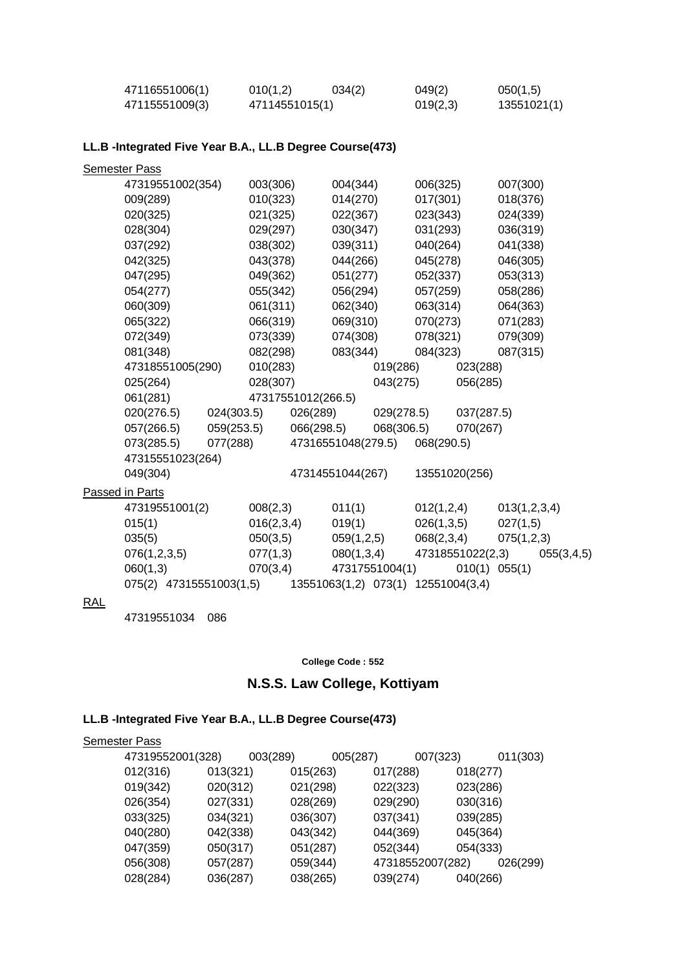| 47116551006(1) | 010(1,2)       | 034(2) | 049(2)   | 050(1,5)    |
|----------------|----------------|--------|----------|-------------|
| 47115551009(3) | 47114551015(1) |        | 019(2,3) | 13551021(1) |

## **LL.B -Integrated Five Year B.A., LL.B Degree Course(473)**

|     | <b>Semester Pass</b>    |            |            |                    |                  |                                    |            |                   |              |            |
|-----|-------------------------|------------|------------|--------------------|------------------|------------------------------------|------------|-------------------|--------------|------------|
|     | 47319551002(354)        |            | 003(306)   |                    | 004(344)         |                                    | 006(325)   |                   | 007(300)     |            |
|     | 009(289)                |            | 010(323)   |                    | 014(270)         |                                    | 017(301)   |                   | 018(376)     |            |
|     | 020(325)                |            | 021(325)   |                    | 022(367)         |                                    | 023(343)   |                   | 024(339)     |            |
|     | 028(304)                |            | 029(297)   |                    | 030(347)         |                                    | 031(293)   |                   | 036(319)     |            |
|     | 037(292)                |            | 038(302)   |                    | 039(311)         |                                    | 040(264)   |                   | 041(338)     |            |
|     | 042(325)                |            | 043(378)   |                    | 044(266)         |                                    | 045(278)   |                   | 046(305)     |            |
|     | 047(295)                |            | 049(362)   |                    | 051(277)         |                                    | 052(337)   |                   | 053(313)     |            |
|     | 054(277)                |            | 055(342)   |                    | 056(294)         |                                    | 057(259)   |                   | 058(286)     |            |
|     | 060(309)                |            | 061(311)   |                    | 062(340)         |                                    | 063(314)   |                   | 064(363)     |            |
|     | 065(322)                |            | 066(319)   |                    | 069(310)         |                                    | 070(273)   |                   | 071(283)     |            |
|     | 072(349)                |            | 073(339)   |                    | 074(308)         |                                    | 078(321)   |                   | 079(309)     |            |
|     | 081(348)                |            | 082(298)   |                    | 083(344)         |                                    | 084(323)   |                   | 087(315)     |            |
|     | 47318551005(290)        |            | 010(283)   |                    |                  | 019(286)                           |            | 023(288)          |              |            |
|     | 025(264)                |            | 028(307)   |                    |                  | 043(275)                           |            | 056(285)          |              |            |
|     | 061(281)                |            |            | 47317551012(266.5) |                  |                                    |            |                   |              |            |
|     | 020(276.5)              | 024(303.5) |            | 026(289)           |                  | 029(278.5)                         |            | 037(287.5)        |              |            |
|     | 057(266.5)              | 059(253.5) |            | 066(298.5)         |                  | 068(306.5)                         |            | 070(267)          |              |            |
|     | 073(285.5)              | 077(288)   |            |                    |                  | 47316551048(279.5)                 | 068(290.5) |                   |              |            |
|     | 47315551023(264)        |            |            |                    |                  |                                    |            |                   |              |            |
|     | 049(304)                |            |            |                    | 47314551044(267) |                                    |            | 13551020(256)     |              |            |
|     | Passed in Parts         |            |            |                    |                  |                                    |            |                   |              |            |
|     | 47319551001(2)          |            | 008(2,3)   |                    | 011(1)           |                                    | 012(1,2,4) |                   | 013(1,2,3,4) |            |
|     | 015(1)                  |            | 016(2,3,4) |                    | 019(1)           |                                    | 026(1,3,5) |                   | 027(1,5)     |            |
|     | 035(5)                  |            | 050(3,5)   |                    | 059(1,2,5)       |                                    | 068(2,3,4) |                   | 075(1,2,3)   |            |
|     | 076(1,2,3,5)            |            | 077(1,3)   |                    | 080(1,3,4)       |                                    |            | 47318551022(2,3)  |              | 055(3,4,5) |
|     | 060(1,3)                |            | 070(3,4)   |                    |                  | 47317551004(1)                     |            | $010(1)$ $055(1)$ |              |            |
|     | 075(2) 47315551003(1,5) |            |            |                    |                  | 13551063(1,2) 073(1) 12551004(3,4) |            |                   |              |            |
| R∆I |                         |            |            |                    |                  |                                    |            |                   |              |            |

#### <u>KAL</u>

47319551034 086

#### **College Code : 552**

# **N.S.S. Law College, Kottiyam**

## **LL.B -Integrated Five Year B.A., LL.B Degree Course(473)**

| <b>Semester Pass</b> |          |          |          |          |          |                  |          |          |
|----------------------|----------|----------|----------|----------|----------|------------------|----------|----------|
| 47319552001(328)     |          | 003(289) |          | 005(287) |          | 007(323)         |          | 011(303) |
| 012(316)             | 013(321) |          | 015(263) |          | 017(288) |                  | 018(277) |          |
| 019(342)             | 020(312) |          | 021(298) |          | 022(323) |                  | 023(286) |          |
| 026(354)             | 027(331) |          | 028(269) |          | 029(290) |                  | 030(316) |          |
| 033(325)             | 034(321) |          | 036(307) |          | 037(341) |                  | 039(285) |          |
| 040(280)             | 042(338) |          | 043(342) |          | 044(369) |                  | 045(364) |          |
| 047(359)             | 050(317) |          | 051(287) |          | 052(344) |                  | 054(333) |          |
| 056(308)             | 057(287) |          | 059(344) |          |          | 47318552007(282) |          | 026(299) |
| 028(284)             | 036(287) |          | 038(265) |          | 039(274) |                  | 040(266) |          |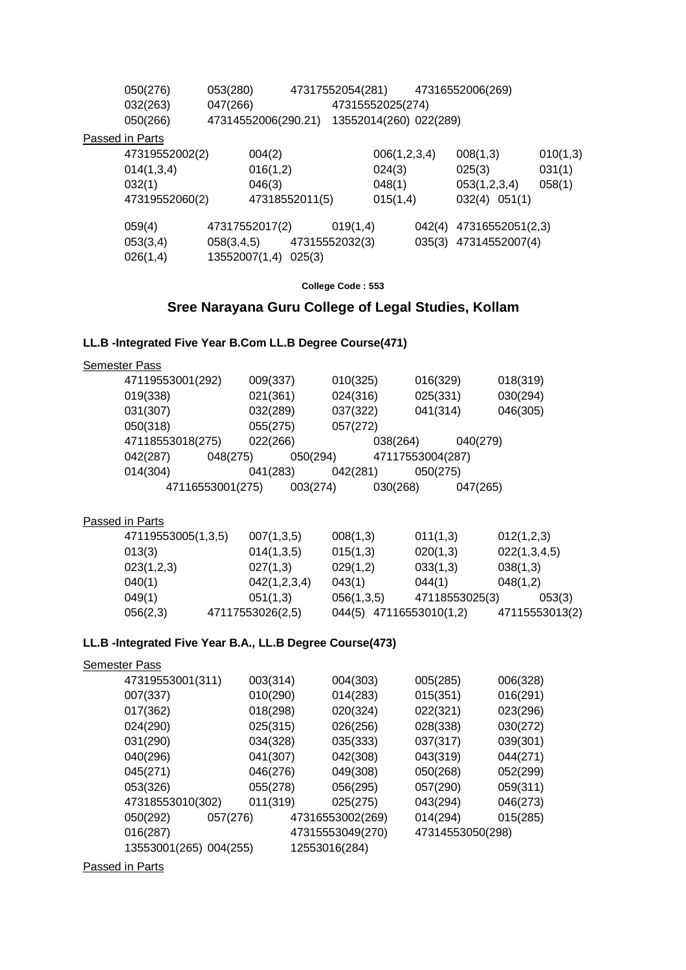| 050(276)        | 053(280)      |                     |                           | 47317552054(281)       |              |        | 47316552006(269)      |          |
|-----------------|---------------|---------------------|---------------------------|------------------------|--------------|--------|-----------------------|----------|
| 032(263)        | 047(266)      |                     |                           | 47315552025(274)       |              |        |                       |          |
| 050(266)        |               | 47314552006(290.21) |                           | 13552014(260) 022(289) |              |        |                       |          |
| Passed in Parts |               |                     |                           |                        |              |        |                       |          |
| 47319552002(2)  |               | 004(2)              |                           |                        | 006(1,2,3,4) |        | 008(1,3)              | 010(1,3) |
| 014(1,3,4)      |               | 016(1,2)            |                           |                        | 024(3)       |        | 025(3)                | 031(1)   |
| 032(1)          |               | 046(3)              |                           |                        | 048(1)       |        | 053(1,2,3,4)          | 058(1)   |
| 47319552060(2)  |               |                     | 47318552011(5)            |                        | 015(1,4)     |        | $032(4)$ $051(1)$     |          |
| 059(4)          |               | 47317552017(2)      |                           | 019(1,4)               |              | 042(4) | 47316552051(2,3)      |          |
| 053(3,4)        |               |                     | 058(3,4,5) 47315552032(3) |                        |              |        | 035(3) 47314552007(4) |          |
| 026(1,4)        | 13552007(1,4) |                     | 025(3)                    |                        |              |        |                       |          |

**College Code : 553**

#### **Sree Narayana Guru College of Legal Studies, Kollam**

#### **LL.B -Integrated Five Year B.Com LL.B Degree Course(471)**

| <b>Semester Pass</b> |                  |          |          |                  |          |
|----------------------|------------------|----------|----------|------------------|----------|
|                      | 47119553001(292) | 009(337) | 010(325) | 016(329)         | 018(319) |
| 019(338)             |                  | 021(361) | 024(316) | 025(331)         | 030(294) |
| 031(307)             |                  | 032(289) | 037(322) | 041(314)         | 046(305) |
| 050(318)             |                  | 055(275) | 057(272) |                  |          |
|                      | 47118553018(275) | 022(266) |          | 038(264)         | 040(279) |
| 042(287)             | 048(275)         | 050(294) |          | 47117553004(287) |          |
| 014(304)             |                  | 041(283) | 042(281) | 050(275)         |          |
|                      | 47116553001(275) | 003(274) |          | 030(268)         | 047(265) |
|                      |                  |          |          |                  |          |

#### Passed in Parts

| 47119553005(1,3,5) | 007(1,3,5)       | 008(1,3)   | 011(1,3)                | 012(1,2,3)     |
|--------------------|------------------|------------|-------------------------|----------------|
| 013(3)             | 014(1,3,5)       | 015(1,3)   | 020(1,3)                | 022(1,3,4,5)   |
| 023(1,2,3)         | 027(1,3)         | 029(1,2)   | 033(1,3)                | 038(1,3)       |
| 040(1)             | 042(1,2,3,4)     | 043(1)     | 044(1)                  | 048(1,2)       |
| 049(1)             | 051(1,3)         | 056(1,3,5) | 47118553025(3)          | 053(3)         |
| 056(2,3)           | 47117553026(2,5) |            | 044(5) 47116553010(1,2) | 47115553013(2) |

#### **LL.B -Integrated Five Year B.A., LL.B Degree Course(473)**

## Semester Pass 47319553001(311) 003(314) 004(303) 005(285) 006(328) 007(337) 010(290) 014(283) 015(351) 016(291) 017(362) 018(298) 020(324) 022(321) 023(296) 024(290) 025(315) 026(256) 028(338) 030(272) 031(290) 034(328) 035(333) 037(317) 039(301) 040(296) 041(307) 042(308) 043(319) 044(271) 045(271) 046(276) 049(308) 050(268) 052(299) 053(326) 055(278) 056(295) 057(290) 059(311) 47318553010(302) 011(319) 025(275) 043(294) 046(273) 050(292) 057(276) 47316553002(269) 014(294) 015(285) 016(287) 47315553049(270) 47314553050(298) 13553001(265) 004(255) 12553016(284)

Passed in Parts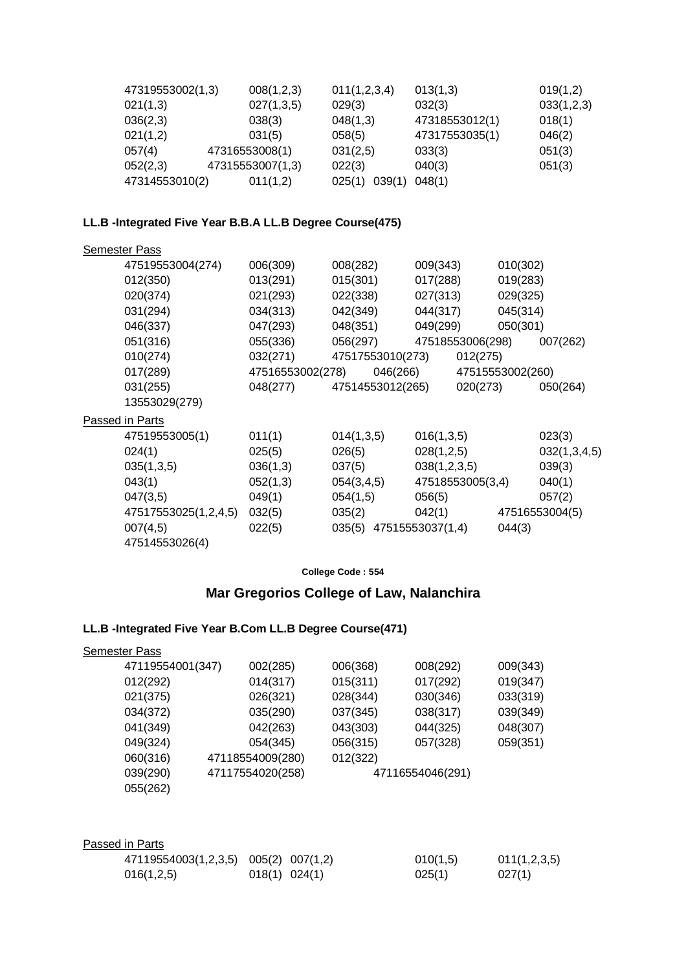| 47319553002(1,3) | 008(1,2,3)       | 011(1,2,3,4)     | 013(1,3)       | 019(1,2)   |
|------------------|------------------|------------------|----------------|------------|
| 021(1,3)         | 027(1,3,5)       | 029(3)           | 032(3)         | 033(1,2,3) |
| 036(2,3)         | 038(3)           | 048(1,3)         | 47318553012(1) | 018(1)     |
| 021(1,2)         | 031(5)           | 058(5)           | 47317553035(1) | 046(2)     |
| 057(4)           | 47316553008(1)   | 031(2,5)         | 033(3)         | 051(3)     |
| 052(2,3)         | 47315553007(1,3) | 022(3)           | 040(3)         | 051(3)     |
| 47314553010(2)   | 011(1,2)         | 039(1)<br>025(1) | 048(1)         |            |

## **LL.B -Integrated Five Year B.B.A LL.B Degree Course(475)**

| 006(309) | 008(282)   |                  |                                                  |                                                                                                                                                     |                                                                                                                                              |
|----------|------------|------------------|--------------------------------------------------|-----------------------------------------------------------------------------------------------------------------------------------------------------|----------------------------------------------------------------------------------------------------------------------------------------------|
| 013(291) | 015(301)   |                  |                                                  |                                                                                                                                                     |                                                                                                                                              |
| 021(293) | 022(338)   |                  |                                                  |                                                                                                                                                     |                                                                                                                                              |
| 034(313) | 042(349)   |                  |                                                  |                                                                                                                                                     |                                                                                                                                              |
| 047(293) | 048(351)   |                  |                                                  |                                                                                                                                                     |                                                                                                                                              |
| 055(336) | 056(297)   |                  |                                                  |                                                                                                                                                     | 007(262)                                                                                                                                     |
| 032(271) |            |                  |                                                  |                                                                                                                                                     |                                                                                                                                              |
|          |            |                  |                                                  |                                                                                                                                                     |                                                                                                                                              |
| 048(277) |            |                  |                                                  |                                                                                                                                                     | 050(264)                                                                                                                                     |
|          |            |                  |                                                  |                                                                                                                                                     |                                                                                                                                              |
|          |            |                  |                                                  |                                                                                                                                                     |                                                                                                                                              |
| 011(1)   | 014(1,3,5) |                  |                                                  |                                                                                                                                                     | 023(3)                                                                                                                                       |
| 025(5)   | 026(5)     |                  |                                                  |                                                                                                                                                     | 032(1,3,4,5)                                                                                                                                 |
| 036(1,3) | 037(5)     |                  |                                                  |                                                                                                                                                     | 039(3)                                                                                                                                       |
| 052(1,3) | 054(3,4,5) |                  |                                                  |                                                                                                                                                     | 040(1)                                                                                                                                       |
| 049(1)   | 054(1,5)   |                  |                                                  |                                                                                                                                                     | 057(2)                                                                                                                                       |
| 032(5)   | 035(2)     |                  |                                                  |                                                                                                                                                     | 47516553004(5)                                                                                                                               |
| 022(5)   |            |                  |                                                  | 044(3)                                                                                                                                              |                                                                                                                                              |
|          |            |                  |                                                  |                                                                                                                                                     |                                                                                                                                              |
|          |            | 47516553002(278) | 47517553010(273)<br>046(266)<br>47514553012(265) | 009(343)<br>017(288)<br>027(313)<br>044(317)<br>049(299)<br>016(1,3,5)<br>028(1,2,5)<br>038(1,2,3,5)<br>056(5)<br>042(1)<br>035(5) 47515553037(1,4) | 010(302)<br>019(283)<br>029(325)<br>045(314)<br>050(301)<br>47518553006(298)<br>012(275)<br>47515553002(260)<br>020(273)<br>47518553005(3,4) |

#### **College Code : 554**

# **Mar Gregorios College of Law, Nalanchira**

## **LL.B -Integrated Five Year B.Com LL.B Degree Course(471)**

**Semester Pass** 

| 47119554001(347) | 002(285)         | 006(368)         | 008(292) | 009(343) |
|------------------|------------------|------------------|----------|----------|
| 012(292)         | 014(317)         | 015(311)         | 017(292) | 019(347) |
| 021(375)         | 026(321)         | 028(344)         | 030(346) | 033(319) |
| 034(372)         | 035(290)         | 037(345)         | 038(317) | 039(349) |
| 041(349)         | 042(263)         | 043(303)         | 044(325) | 048(307) |
| 049(324)         | 054(345)         | 056(315)         | 057(328) | 059(351) |
| 060(316)         | 47118554009(280) | 012(322)         |          |          |
| 039(290)         | 47117554020(258) | 47116554046(291) |          |          |
| 055(262)         |                  |                  |          |          |
|                  |                  |                  |          |          |

| Passed in Parts                      |                   |          |              |
|--------------------------------------|-------------------|----------|--------------|
| 47119554003(1,2,3,5) 005(2) 007(1,2) |                   | 010(1,5) | 011(1,2,3,5) |
| 016(1,2,5)                           | $018(1)$ $024(1)$ | 025(1)   | 027(1)       |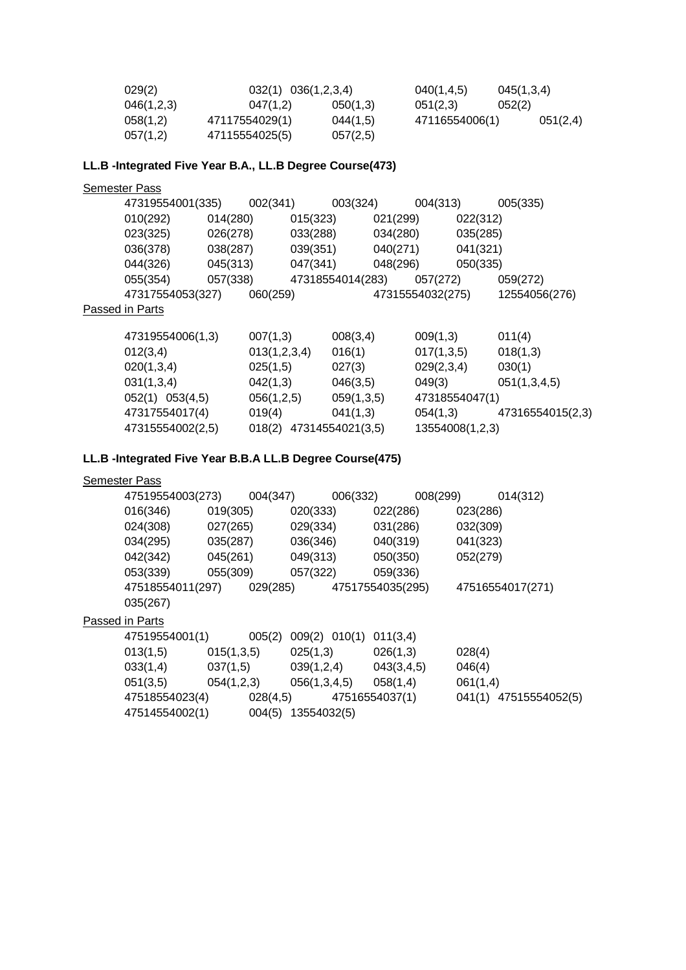| 029(2)     | $032(1)$ $036(1,2,3,4)$ |          | 040(1, 4.5)    | 045(1,3,4) |  |
|------------|-------------------------|----------|----------------|------------|--|
| 046(1,2,3) | 047(1,2)                | 050(1,3) | 051(2,3)       | 052(2)     |  |
| 058(1,2)   | 47117554029(1)          | 044(1,5) | 47116554006(1) | 051(2,4)   |  |
| 057(1,2)   | 47115554025(5)          | 057(2,5) |                |            |  |

## **LL.B -Integrated Five Year B.A., LL.B Degree Course(473)**

**Semester Pass** 

|                 | 47319554001(335) |          | 002(341) |          | 003(324)         |          | 004(313)         |          | 005(335)      |
|-----------------|------------------|----------|----------|----------|------------------|----------|------------------|----------|---------------|
|                 | 010(292)         | 014(280) |          | 015(323) |                  | 021(299) |                  | 022(312) |               |
|                 | 023(325)         | 026(278) |          | 033(288) |                  | 034(280) |                  | 035(285) |               |
|                 | 036(378)         | 038(287) |          | 039(351) |                  | 040(271) |                  | 041(321) |               |
|                 | 044(326)         | 045(313) |          | 047(341) |                  | 048(296) |                  | 050(335) |               |
|                 | 055(354)         | 057(338) |          |          | 47318554014(283) |          | 057(272)         |          | 059(272)      |
|                 | 47317554053(327) |          | 060(259) |          |                  |          | 47315554032(275) |          | 12554056(276) |
| Passed in Parts |                  |          |          |          |                  |          |                  |          |               |

| 47319554006(1,3)    | 007(1,3)                | 008(3,4)   | 009(1,3)        | 011(4)           |
|---------------------|-------------------------|------------|-----------------|------------------|
| 012(3,4)            | 013(1,2,3,4)            | 016(1)     | 017(1,3,5)      | 018(1,3)         |
| 020(1,3,4)          | 025(1,5)                | 027(3)     | 029(2,3,4)      | 030(1)           |
| 031(1,3,4)          | 042(1,3)                | 046(3,5)   | 049(3)          | 051(1,3,4,5)     |
| $052(1)$ $053(4,5)$ | 056(1,2,5)              | 059(1,3,5) | 47318554047(1)  |                  |
| 47317554017(4)      | 019(4)                  | 041(1,3)   | 054(1,3)        | 47316554015(2,3) |
| 47315554002(2,5)    | 018(2) 47314554021(3,5) |            | 13554008(1,2,3) |                  |

## **LL.B -Integrated Five Year B.B.A LL.B Degree Course(475)**

#### **Semester Pass**

| 47519554003(273) |            | 004(347) | 006(332)                  |                  | 008(299) |                  | 014(312)              |
|------------------|------------|----------|---------------------------|------------------|----------|------------------|-----------------------|
| 016(346)         | 019(305)   |          | 020(333)                  | 022(286)         |          | 023(286)         |                       |
| 024(308)         | 027(265)   |          | 029(334)                  | 031(286)         |          | 032(309)         |                       |
| 034(295)         | 035(287)   |          | 036(346)                  | 040(319)         |          | 041(323)         |                       |
| 042(342)         | 045(261)   |          | 049(313)                  | 050(350)         |          | 052(279)         |                       |
| 053(339)         | 055(309)   |          | 057(322)                  | 059(336)         |          |                  |                       |
| 47518554011(297) |            | 029(285) |                           | 47517554035(295) |          | 47516554017(271) |                       |
| 035(267)         |            |          |                           |                  |          |                  |                       |
| Passed in Parts  |            |          |                           |                  |          |                  |                       |
| 47519554001(1)   |            | 005(2)   | 009(2) 010(1)             | 011(3,4)         |          |                  |                       |
| 013(1,5)         | 015(1,3,5) |          | 025(1,3)                  | 026(1,3)         |          | 028(4)           |                       |
| 033(1,4)         | 037(1,5)   |          | $039(1,2,4)$ $043(3,4,5)$ |                  |          | 046(4)           |                       |
| 051(3,5)         | 054(1,2,3) |          | 056(1,3,4,5)              | 058(1,4)         |          | 061(1,4)         |                       |
| 47518554023(4)   |            | 028(4,5) |                           | 47516554037(1)   |          |                  | 041(1) 47515554052(5) |
| 47514554002(1)   |            |          | 004(5) 13554032(5)        |                  |          |                  |                       |
|                  |            |          |                           |                  |          |                  |                       |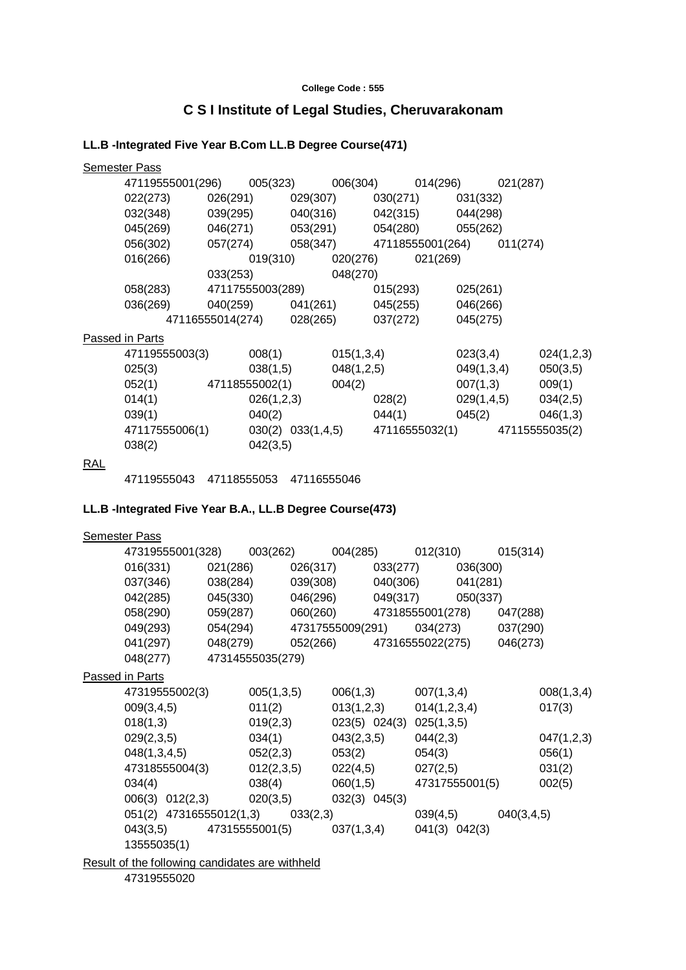#### **College Code : 555**

# **C S I Institute of Legal Studies, Cheruvarakonam**

## **LL.B -Integrated Five Year B.Com LL.B Degree Course(471)**

|     | <b>Semester Pass</b>                                           |  |                   |  |                                             |                         |
|-----|----------------------------------------------------------------|--|-------------------|--|---------------------------------------------|-------------------------|
|     | 47119555001(296) 005(323) 006(304) 014(296) 021(287)           |  |                   |  |                                             |                         |
|     | 022(273) 026(291) 029(307) 030(271) 031(332)                   |  |                   |  |                                             |                         |
|     | 032(348) 039(295) 040(316) 042(315) 044(298)                   |  |                   |  |                                             |                         |
|     | 045(269) 046(271) 053(291) 054(280) 055(262)                   |  |                   |  |                                             |                         |
|     | 056(302) 057(274) 058(347) 47118555001(264) 011(274)           |  |                   |  |                                             |                         |
|     | 016(266) 019(310) 020(276) 021(269)                            |  |                   |  |                                             |                         |
|     |                                                                |  | 033(253) 048(270) |  |                                             |                         |
|     | 058(283) 47117555003(289) 015(293) 025(261)                    |  |                   |  |                                             |                         |
|     | 036(269) 040(259) 041(261) 045(255) 046(266)                   |  |                   |  |                                             |                         |
|     |                                                                |  |                   |  | 47116555014(274) 028(265) 037(272) 045(275) |                         |
|     | Passed in Parts                                                |  |                   |  |                                             |                         |
|     | 47119555003(3) 008(1) 015(1,3,4)                               |  |                   |  | 023(3,4)                                    | 024(1,2,3)              |
|     | $025(3)$ $038(1,5)$ $048(1,2,5)$                               |  |                   |  | 049(1,3,4)                                  | 050(3,5)                |
|     | $052(1)$ 47118555002(1) 004(2)                                 |  |                   |  |                                             | $007(1,3)$ 009(1)       |
|     | $014(1)$ $026(1,2,3)$ $028(2)$                                 |  |                   |  |                                             | $029(1,4,5)$ $034(2,5)$ |
|     | $039(1)$ $040(2)$ $044(1)$ $045(2)$ $046(1,3)$                 |  |                   |  |                                             |                         |
|     | 47117555006(1) 030(2) 033(1,4,5) 47116555032(1) 47115555035(2) |  |                   |  |                                             |                         |
|     | $038(2)$ $042(3,5)$                                            |  |                   |  |                                             |                         |
| RAL |                                                                |  |                   |  |                                             |                         |
|     | 47119555043 47118555053 47116555046                            |  |                   |  |                                             |                         |

## **LL.B -Integrated Five Year B.A., LL.B Degree Course(473)**

| <b>Semester Pass</b> |                                                        |            |                       |                                           |                         |            |
|----------------------|--------------------------------------------------------|------------|-----------------------|-------------------------------------------|-------------------------|------------|
|                      | 47319555001(328) 003(262) 004(285) 012(310) 015(314)   |            |                       |                                           |                         |            |
|                      | $016(331)$ $021(286)$ $026(317)$ $033(277)$ $036(300)$ |            |                       |                                           |                         |            |
|                      | 037(346) 038(284) 039(308) 040(306) 041(281)           |            |                       |                                           |                         |            |
|                      | 042(285) 045(330) 046(296) 049(317) 050(337)           |            |                       |                                           |                         |            |
|                      | 058(290) 059(287) 060(260) 47318555001(278) 047(288)   |            |                       |                                           |                         |            |
|                      | 049(293) 054(294) 47317555009(291) 034(273) 037(290)   |            |                       |                                           |                         |            |
|                      | 041(297) 048(279) 052(266) 47316555022(275) 046(273)   |            |                       |                                           |                         |            |
|                      | 048(277) 47314555035(279)                              |            |                       |                                           |                         |            |
| Passed in Parts      |                                                        |            |                       |                                           |                         |            |
|                      | 47319555002(3)                                         | 005(1,3,5) |                       | $006(1,3)$ 007 $(1,3,4)$                  |                         | 008(1,3,4) |
|                      | 009(3, 4, 5)                                           | 011(2)     |                       | $013(1,2,3)$ $014(1,2,3,4)$               |                         | 017(3)     |
|                      | 018(1,3)                                               |            |                       | $019(2,3)$ $023(5)$ $024(3)$ $025(1,3,5)$ |                         |            |
|                      | 029(2,3,5)                                             |            | $034(1)$ $043(2,3,5)$ | 044(2,3)                                  |                         | 047(1,2,3) |
|                      | $048(1,3,4,5)$ $052(2,3)$                              |            | 053(2)                |                                           | 054(3)                  | 056(1)     |
|                      | 47318555004(3)  012(2,3,5)  022(4,5)  027(2,5)         |            |                       |                                           |                         | 031(2)     |
|                      | 034(4)                                                 |            |                       | $038(4)$ 060(1,5) 47317555001(5)          |                         | 002(5)     |
|                      | 006(3) 012(2,3) 020(3,5) 032(3) 045(3)                 |            |                       |                                           |                         |            |
|                      | 051(2) 47316555012(1,3) 033(2,3)                       |            |                       |                                           | $039(4,5)$ $040(3,4,5)$ |            |
|                      | $043(3,5)$ 47315555001(5) 037(1,3,4) 041(3) 042(3)     |            |                       |                                           |                         |            |
|                      | 13555035(1)                                            |            |                       |                                           |                         |            |
|                      | Result of the following candidates are withheld        |            |                       |                                           |                         |            |

47319555020